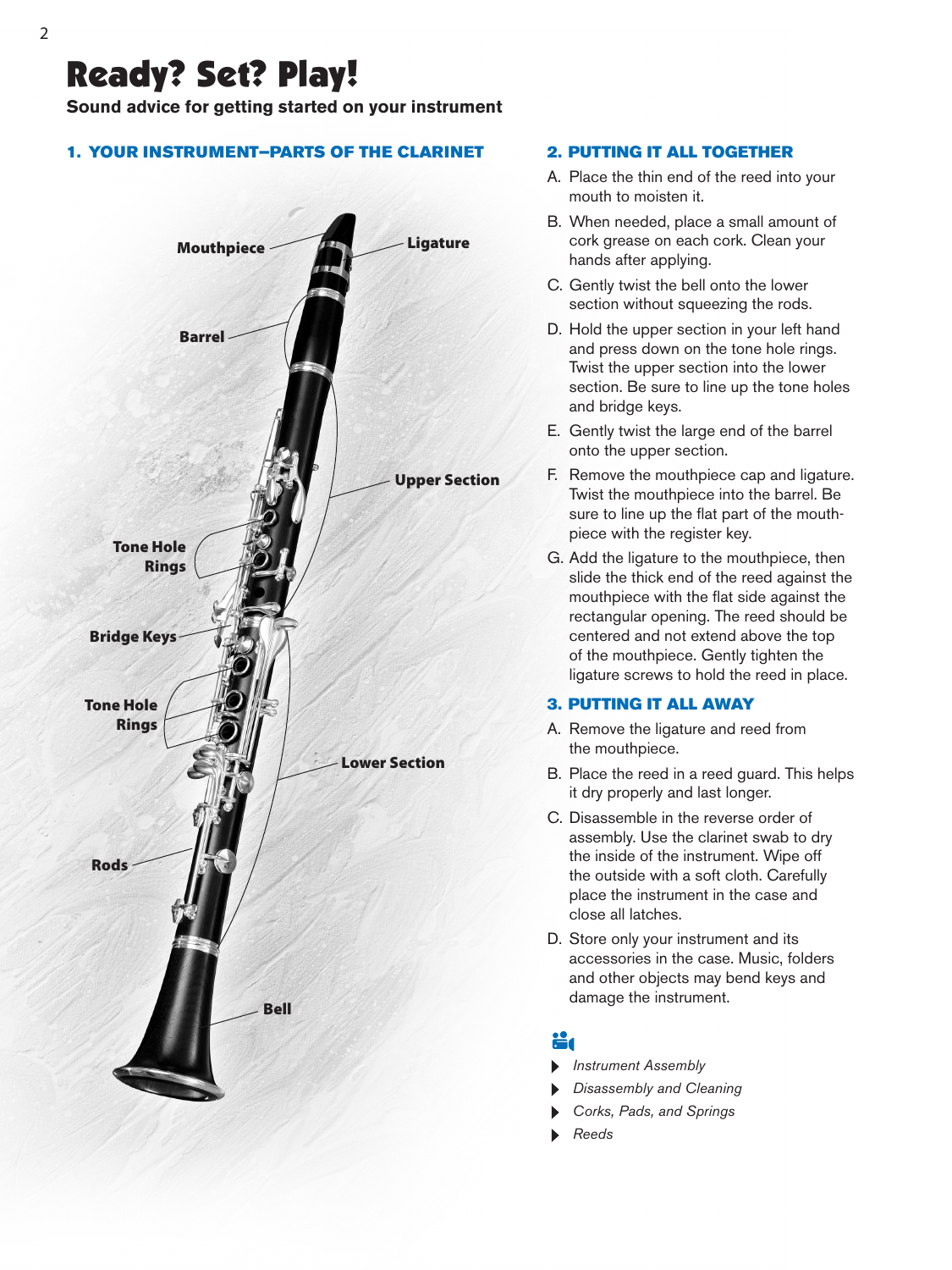## Ready? Set? Play!

**Sound advice for getting started on your instrument**

### 1. YOUR INSTRUMENT—PARTS OF THE CLARINET



### 2. PUTTING IT ALL TOGETHER

- A. Place the thin end of the reed into your mouth to moisten it.
- B. When needed, place a small amount of cork grease on each cork. Clean your hands after applying.
- C. Gently twist the bell onto the lower section without squeezing the rods.
- D. Hold the upper section in your left hand and press down on the tone hole rings. Twist the upper section into the lower section. Be sure to line up the tone holes and bridge keys.
- E. Gently twist the large end of the barrel onto the upper section.
- F. Remove the mouthpiece cap and ligature. Twist the mouthpiece into the barrel. Be sure to line up the flat part of the mouthpiece with the register key.
- G. Add the ligature to the mouthpiece, then slide the thick end of the reed against the mouthpiece with the flat side against the rectangular opening. The reed should be centered and not extend above the top of the mouthpiece. Gently tighten the ligature screws to hold the reed in place.

### 3. PUTTING IT ALL AWAY

- A. Remove the ligature and reed from the mouthpiece.
- B. Place the reed in a reed guard. This helps it dry properly and last longer.
- C. Disassemble in the reverse order of assembly. Use the clarinet swab to dry the inside of the instrument. Wipe off the outside with a soft cloth. Carefully place the instrument in the case and close all latches.
- D. Store only your instrument and its accessories in the case. Music, folders and other objects may bend keys and damage the instrument.

- *Instrument Assembly*
- *Disassembly and Cleaning*
- *Corks, Pads, and Springs*
- *Reeds*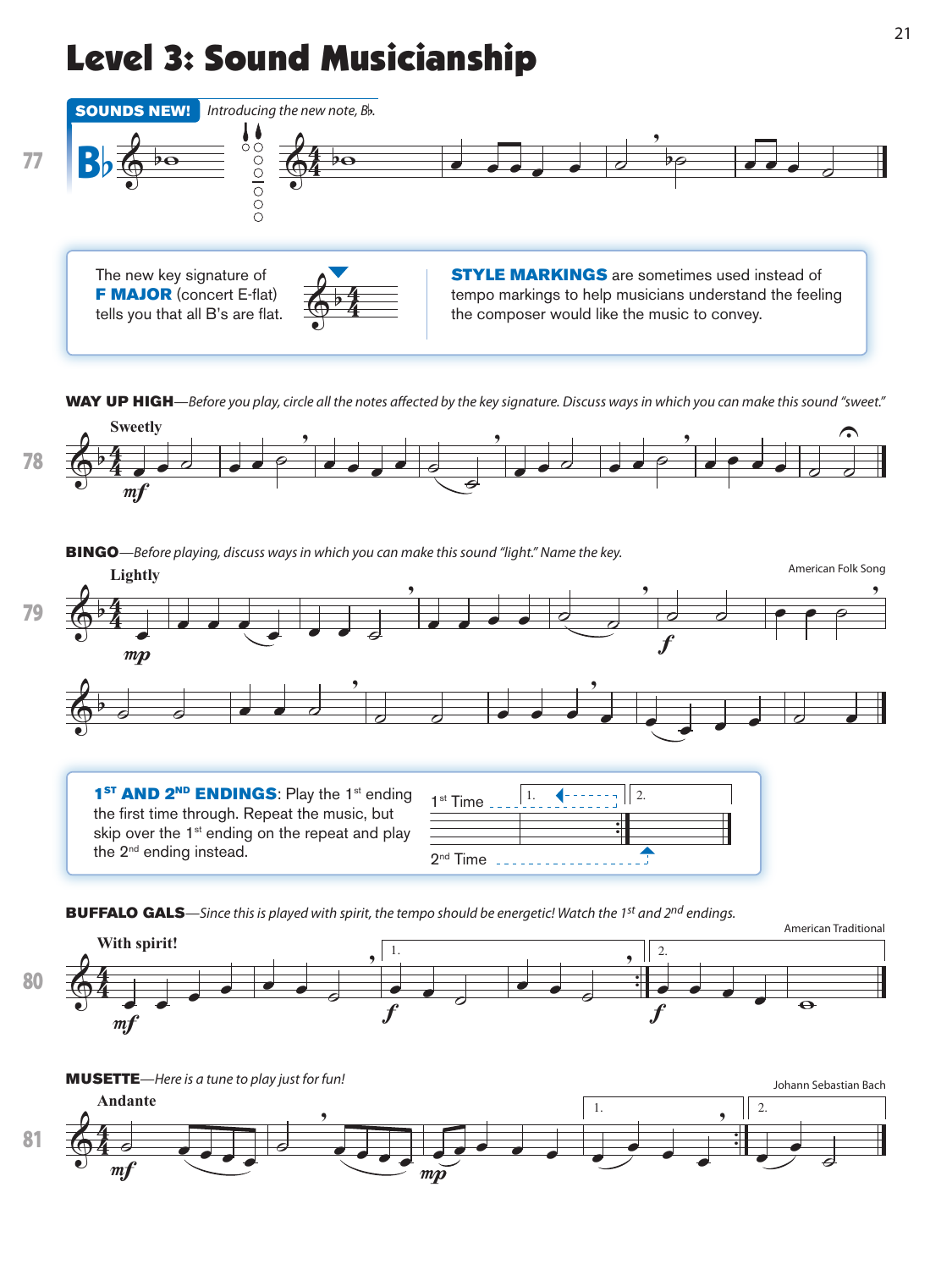# Level 3: Sound Musicianship



WAY UP HIGH—Before you play, circle all the notes affected by the key signature. Discuss ways in which you can make this sound "sweet."



BINGO—Before playing, discuss ways in which you can make this sound "light." Name the key.